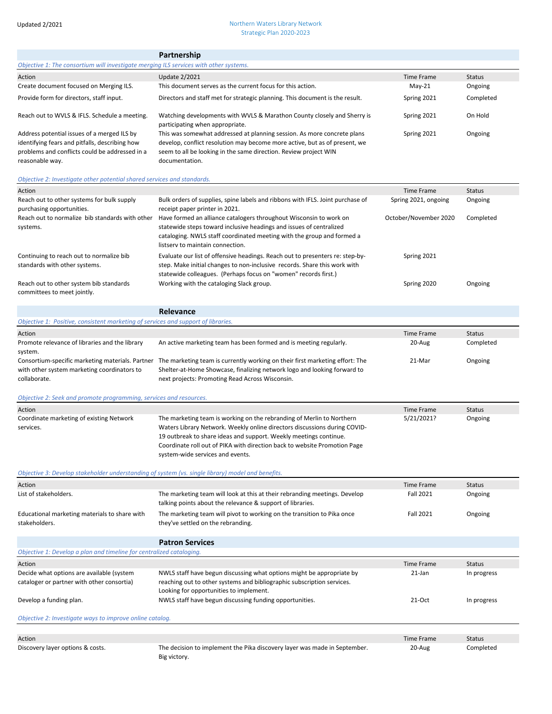## Updated 2/2021 Northern Waters Library Network Strategic Plan 2020-2023

|                                                                                                                                                                    | Partnership                                                                                                                                                                                                                                                                                                                              |                                               |                      |
|--------------------------------------------------------------------------------------------------------------------------------------------------------------------|------------------------------------------------------------------------------------------------------------------------------------------------------------------------------------------------------------------------------------------------------------------------------------------------------------------------------------------|-----------------------------------------------|----------------------|
| Objective 1: The consortium will investigate merging ILS services with other systems.                                                                              |                                                                                                                                                                                                                                                                                                                                          |                                               |                      |
| Action                                                                                                                                                             | <b>Update 2/2021</b>                                                                                                                                                                                                                                                                                                                     | Time Frame                                    | <b>Status</b>        |
| Create document focused on Merging ILS.                                                                                                                            | This document serves as the current focus for this action.                                                                                                                                                                                                                                                                               | May-21                                        | Ongoing              |
| Provide form for directors, staff input.                                                                                                                           | Directors and staff met for strategic planning. This document is the result.                                                                                                                                                                                                                                                             | Spring 2021                                   | Completed            |
| Reach out to WVLS & IFLS. Schedule a meeting.                                                                                                                      | Watching developments with WVLS & Marathon County closely and Sherry is<br>participating when appropriate.                                                                                                                                                                                                                               | Spring 2021                                   | On Hold              |
| Address potential issues of a merged ILS by<br>identifying fears and pitfalls, describing how<br>problems and conflicts could be addressed in a<br>reasonable way. | This was somewhat addressed at planning session. As more concrete plans<br>develop, conflict resolution may become more active, but as of present, we<br>seem to all be looking in the same direction. Review project WIN<br>documentation.                                                                                              | Spring 2021                                   | Ongoing              |
| Objective 2: Investigate other potential shared services and standards.                                                                                            |                                                                                                                                                                                                                                                                                                                                          |                                               |                      |
| Action                                                                                                                                                             |                                                                                                                                                                                                                                                                                                                                          | Time Frame                                    | <b>Status</b>        |
| Reach out to other systems for bulk supply<br>purchasing opportunities.<br>Reach out to normalize bib standards with other                                         | Bulk orders of supplies, spine labels and ribbons with IFLS. Joint purchase of<br>receipt paper printer in 2021.<br>Have formed an alliance catalogers throughout Wisconsin to work on                                                                                                                                                   | Spring 2021, ongoing<br>October/November 2020 | Ongoing<br>Completed |
| systems.                                                                                                                                                           | statewide steps toward inclusive headings and issues of centralized<br>cataloging. NWLS staff coordinated meeting with the group and formed a<br>listsery to maintain connection.                                                                                                                                                        |                                               |                      |
| Continuing to reach out to normalize bib<br>standards with other systems.                                                                                          | Evaluate our list of offensive headings. Reach out to presenters re: step-by-<br>step. Make initial changes to non-inclusive records. Share this work with<br>statewide colleagues. (Perhaps focus on "women" records first.)                                                                                                            | Spring 2021                                   |                      |
| Reach out to other system bib standards<br>committees to meet jointly.                                                                                             | Working with the cataloging Slack group.                                                                                                                                                                                                                                                                                                 | Spring 2020                                   | Ongoing              |
|                                                                                                                                                                    | Relevance                                                                                                                                                                                                                                                                                                                                |                                               |                      |
| Objective 1: Positive, consistent marketing of services and support of libraries.                                                                                  |                                                                                                                                                                                                                                                                                                                                          |                                               |                      |
| Action                                                                                                                                                             |                                                                                                                                                                                                                                                                                                                                          | <b>Time Frame</b>                             | <b>Status</b>        |
| Promote relevance of libraries and the library<br>system.                                                                                                          | An active marketing team has been formed and is meeting regularly.                                                                                                                                                                                                                                                                       | 20-Aug                                        | Completed            |
| with other system marketing coordinators to<br>collaborate.                                                                                                        | Consortium-specific marketing materials. Partner The marketing team is currently working on their first marketing effort: The<br>Shelter-at-Home Showcase, finalizing network logo and looking forward to<br>next projects: Promoting Read Across Wisconsin.                                                                             | 21-Mar                                        | Ongoing              |
| Objective 2: Seek and promote programming, services and resources.                                                                                                 |                                                                                                                                                                                                                                                                                                                                          |                                               |                      |
| Action                                                                                                                                                             |                                                                                                                                                                                                                                                                                                                                          | Time Frame                                    | <b>Status</b>        |
| Coordinate marketing of existing Network<br>services.                                                                                                              | The marketing team is working on the rebranding of Merlin to Northern<br>Waters Library Network. Weekly online directors discussions during COVID-<br>19 outbreak to share ideas and support. Weekly meetings continue.<br>Coordinate roll out of PIKA with direction back to website Promotion Page<br>system-wide services and events. | 5/21/2021?                                    | Ongoing              |
| Objective 3: Develop stakeholder understanding of system (vs. single library) model and benefits.                                                                  |                                                                                                                                                                                                                                                                                                                                          |                                               |                      |
| Action                                                                                                                                                             |                                                                                                                                                                                                                                                                                                                                          | <b>Time Frame</b>                             | <b>Status</b>        |
| List of stakeholders.                                                                                                                                              | The marketing team will look at this at their rebranding meetings. Develop<br>talking points about the relevance & support of libraries.                                                                                                                                                                                                 | <b>Fall 2021</b>                              | Ongoing              |
| Educational marketing materials to share with<br>stakeholders.                                                                                                     | The marketing team will pivot to working on the transition to Pika once<br>they've settled on the rebranding.                                                                                                                                                                                                                            | Fall 2021                                     | Ongoing              |
|                                                                                                                                                                    | <b>Patron Services</b>                                                                                                                                                                                                                                                                                                                   |                                               |                      |
| Objective 1: Develop a plan and timeline for centralized cataloging.                                                                                               |                                                                                                                                                                                                                                                                                                                                          |                                               |                      |
| Action                                                                                                                                                             |                                                                                                                                                                                                                                                                                                                                          | Time Frame                                    | <b>Status</b>        |
| Decide what options are available (system<br>cataloger or partner with other consortia)                                                                            | NWLS staff have begun discussing what options might be appropriate by<br>reaching out to other systems and bibliographic subscription services.<br>Looking for opportunities to implement.                                                                                                                                               | 21-Jan                                        | In progress          |
| Develop a funding plan.                                                                                                                                            | NWLS staff have begun discussing funding opportunities.                                                                                                                                                                                                                                                                                  | $21-Oct$                                      | In progress          |
| Objective 2: Investigate ways to improve online catalog.                                                                                                           |                                                                                                                                                                                                                                                                                                                                          |                                               |                      |
| Action                                                                                                                                                             |                                                                                                                                                                                                                                                                                                                                          | Time Frame                                    | Status               |
|                                                                                                                                                                    |                                                                                                                                                                                                                                                                                                                                          |                                               |                      |

Discovery layer options & costs. The decision to implement the Pika discovery layer was made in September. Big victory. 20-Aug Completed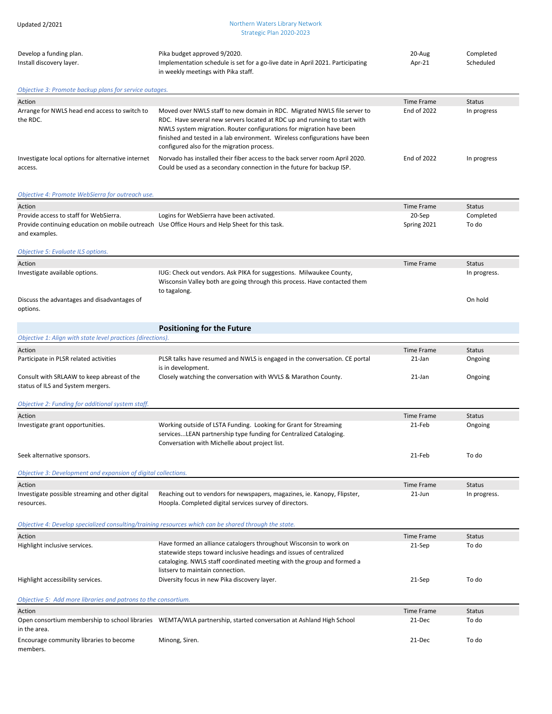| Updated 2/2021                                                                                                  | Northern Waters Library Network<br>Strategic Plan 2020-2023                                                                                                                                                                                                                                                                                                |                    |                        |
|-----------------------------------------------------------------------------------------------------------------|------------------------------------------------------------------------------------------------------------------------------------------------------------------------------------------------------------------------------------------------------------------------------------------------------------------------------------------------------------|--------------------|------------------------|
| Develop a funding plan.<br>Install discovery layer.                                                             | Pika budget approved 9/2020.<br>Implementation schedule is set for a go-live date in April 2021. Participating<br>in weekly meetings with Pika staff.                                                                                                                                                                                                      | 20-Aug<br>Apr-21   | Completed<br>Scheduled |
| Objective 3: Promote backup plans for service outages.                                                          |                                                                                                                                                                                                                                                                                                                                                            |                    |                        |
| Action                                                                                                          |                                                                                                                                                                                                                                                                                                                                                            | <b>Time Frame</b>  | <b>Status</b>          |
| Arrange for NWLS head end access to switch to<br>the RDC.                                                       | Moved over NWLS staff to new domain in RDC. Migrated NWLS file server to<br>RDC. Have several new servers located at RDC up and running to start with<br>NWLS system migration. Router configurations for migration have been<br>finished and tested in a lab environment. Wireless configurations have been<br>configured also for the migration process. | End of 2022        | In progress            |
| Investigate local options for alternative internet<br>access.                                                   | Norvado has installed their fiber access to the back server room April 2020.<br>Could be used as a secondary connection in the future for backup ISP.                                                                                                                                                                                                      | <b>End of 2022</b> | In progress            |
| Objective 4: Promote WebSierra for outreach use.                                                                |                                                                                                                                                                                                                                                                                                                                                            |                    |                        |
| Action                                                                                                          |                                                                                                                                                                                                                                                                                                                                                            | Time Frame         | <b>Status</b>          |
| Provide access to staff for WebSierra.                                                                          | Logins for WebSierra have been activated.                                                                                                                                                                                                                                                                                                                  | 20-Sep             | Completed              |
| Provide continuing education on mobile outreach Use Office Hours and Help Sheet for this task.<br>and examples. |                                                                                                                                                                                                                                                                                                                                                            | Spring 2021        | To do                  |
| Objective 5: Evaluate ILS options.                                                                              |                                                                                                                                                                                                                                                                                                                                                            |                    |                        |
| Action                                                                                                          |                                                                                                                                                                                                                                                                                                                                                            | <b>Time Frame</b>  | <b>Status</b>          |
| Investigate available options.                                                                                  | IUG: Check out vendors. Ask PIKA for suggestions. Milwaukee County,<br>Wisconsin Valley both are going through this process. Have contacted them<br>to tagalong.                                                                                                                                                                                           |                    | In progress.           |
| Discuss the advantages and disadvantages of<br>options.                                                         |                                                                                                                                                                                                                                                                                                                                                            |                    | On hold                |
|                                                                                                                 | <b>Positioning for the Future</b>                                                                                                                                                                                                                                                                                                                          |                    |                        |
| Objective 1: Align with state level practices (directions).                                                     |                                                                                                                                                                                                                                                                                                                                                            |                    |                        |
|                                                                                                                 |                                                                                                                                                                                                                                                                                                                                                            |                    |                        |
| Action                                                                                                          |                                                                                                                                                                                                                                                                                                                                                            | <b>Time Frame</b>  | <b>Status</b>          |
| Participate in PLSR related activities                                                                          | PLSR talks have resumed and NWLS is engaged in the conversation. CE portal<br>is in development.<br>Closely watching the conversation with WVLS & Marathon County.                                                                                                                                                                                         | 21-Jan             | Ongoing                |

status of ILS and System mergers.

*Objective 2: Funding for additional system staff.*

| Action                           |                                                                                                                                                                                         | Time Frame | <b>Status</b> |
|----------------------------------|-----------------------------------------------------------------------------------------------------------------------------------------------------------------------------------------|------------|---------------|
| Investigate grant opportunities. | Working outside of LSTA Funding. Looking for Grant for Streaming<br>servicesLEAN partnership type funding for Centralized Cataloging.<br>Conversation with Michelle about project list. | 21-Feb     | Ongoing       |
| Seek alternative sponsors.       |                                                                                                                                                                                         | 21-Feb     | To do         |

| Objective 3: Development and expansion of digital collections. |                                                                                                                                                                                                                                                         |                   |               |
|----------------------------------------------------------------|---------------------------------------------------------------------------------------------------------------------------------------------------------------------------------------------------------------------------------------------------------|-------------------|---------------|
| Action                                                         |                                                                                                                                                                                                                                                         | <b>Time Frame</b> | Status        |
| Investigate possible streaming and other digital<br>resources. | Reaching out to vendors for newspapers, magazines, ie. Kanopy, Flipster,<br>Hoopla. Completed digital services survey of directors.                                                                                                                     | $21$ -Jun         | In progress.  |
|                                                                | Objective 4: Develop specialized consulting/training resources which can be shared through the state.                                                                                                                                                   |                   |               |
| Action                                                         |                                                                                                                                                                                                                                                         | <b>Time Frame</b> | <b>Status</b> |
| Highlight inclusive services.                                  | Have formed an alliance catalogers throughout Wisconsin to work on<br>statewide steps toward inclusive headings and issues of centralized<br>cataloging. NWLS staff coordinated meeting with the group and formed a<br>listsery to maintain connection. | 21-Sep            | To do         |
| Highlight accessibility services.                              | Diversity focus in new Pika discovery layer.                                                                                                                                                                                                            | 21-Sep            | To do         |
| Objective 5: Add more libraries and patrons to the consortium. |                                                                                                                                                                                                                                                         |                   |               |
| Action                                                         |                                                                                                                                                                                                                                                         | <b>Time Frame</b> | <b>Status</b> |
| in the area.                                                   | Open consortium membership to school libraries WEMTA/WLA partnership, started conversation at Ashland High School                                                                                                                                       | 21-Dec            | To do         |
| Encourage community libraries to become<br>members.            | Minong, Siren.                                                                                                                                                                                                                                          | 21-Dec            | To do         |